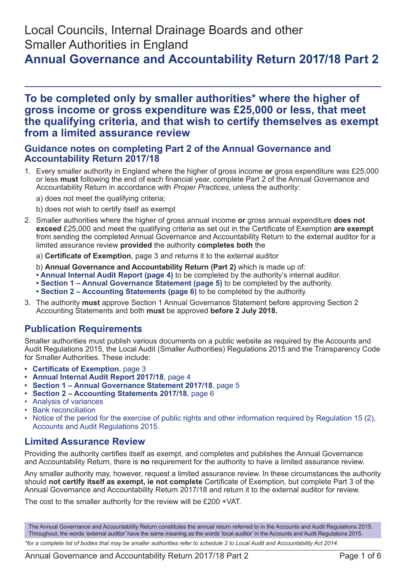# Local Councils, Internal Drainage Boards and other Smaller Authorities in England

# **Annual Governance and Accountability Return 2017/18 Part 2**

## **To be completed only by smaller authorities\* where the higher of gross income or gross expenditure was £25,000 or less, that meet the qualifying criteria, and that wish to certify themselves as exempt from a limited assurance review**

## **Guidance notes on completing Part 2 of the Annual Governance and Accountability Return 2017/18**

- 1. Every smaller authority in England where the higher of gross income **or** gross expenditure was £25,000 or less **must** following the end of each financial year, complete Part 2 of the Annual Governance and Accountability Return in accordance with *Proper Practices*, unless the authority:
	- a) does not meet the qualifying criteria;
	- b) does not wish to certify itself as exempt
- 2. Smaller authorities where the higher of gross annual income **or** gross annual expenditure **does not exceed** £25,000 and meet the qualifying criteria as set out in the Certificate of Exemption **are exempt** from sending the completed Annual Governance and Accountability Return to the external auditor for a limited assurance review **provided** the authority **completes both** the
	- a) **Certificate of Exemption**, page 3 and returns it to the external auditor
	- b) **Annual Governance and Accountability Return (Part 2)** which is made up of:
	- **Annual Internal Audit Report (page 4)** to be completed by the authority's internal auditor.
	- **Section 1 Annual Governance Statement (page 5)** to be completed by the authority.
	- **Section 2 Accounting Statements (page 6)** to be completed by the authority.
- 3. The authority **must** approve Section 1 Annual Governance Statement before approving Section 2 Accounting Statements and both **must** be approved **before 2 July 2018.**

## **Publication Requirements**

Smaller authorities must publish various documents on a public website as required by the Accounts and Audit Regulations 2015, the Local Audit (Smaller Authorities) Regulations 2015 and the Transparency Code for Smaller Authorities. These include:

- **• Certificate of Exemption**, page 3
- **• Annual Internal Audit Report 2017/18**, page 4
- **• Section 1 Annual Governance Statement 2017/18**, page 5
- **• Section 2 Accounting Statements 2017/18**, page 6
- Analysis of variances
- Bank reconciliation
- Notice of the period for the exercise of public rights and other information required by Regulation 15 (2), Accounts and Audit Regulations 2015.

## **Limited Assurance Review**

Providing the authority certifies itself as exempt, and completes and publishes the Annual Governance and Accountability Return, there is **no** requirement for the authority to have a limited assurance review.

Any smaller authority may, however, request a limited assurance review. In these circumstances the authority should **not certify itself as exempt, ie not complete** Certificate of Exemption, but complete Part 3 of the Annual Governance and Accountability Return 2017/18 and return it to the external auditor for review.

The cost to the smaller authority for the review will be £200 +VAT.

The Annual Governance and Accountability Return constitutes the annual return referred to in the Accounts and Audit Regulations 2015. Throughout, the words 'external auditor' have the same meaning as the words 'local auditor' in the Accounts and Audit Regulations 2015.

*\*for a complete list of bodies that may be smaller authorities refer to schedule 2 to Local Audit and Accountability Act 2014.*

Annual Governance and Accountability Return 2017/18 Part 2 Page 1 of 6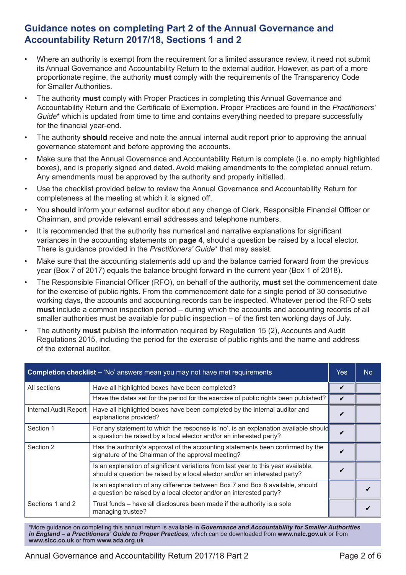## **Guidance notes on completing Part 2 of the Annual Governance and Accountability Return 2017/18, Sections 1 and 2**

- Where an authority is exempt from the requirement for a limited assurance review, it need not submit its Annual Governance and Accountability Return to the external auditor. However, as part of a more proportionate regime, the authority **must** comply with the requirements of the Transparency Code for Smaller Authorities.
- The authority **must** comply with Proper Practices in completing this Annual Governance and Accountability Return and the Certificate of Exemption. Proper Practices are found in the *Practitioners' Guide*\* which is updated from time to time and contains everything needed to prepare successfully for the financial year-end.
- The authority **should** receive and note the annual internal audit report prior to approving the annual governance statement and before approving the accounts.
- Make sure that the Annual Governance and Accountability Return is complete (i.e. no empty highlighted boxes), and is properly signed and dated. Avoid making amendments to the completed annual return. Any amendments must be approved by the authority and properly initialled.
- Use the checklist provided below to review the Annual Governance and Accountability Return for completeness at the meeting at which it is signed off.
- You **should** inform your external auditor about any change of Clerk, Responsible Financial Officer or Chairman, and provide relevant email addresses and telephone numbers.
- It is recommended that the authority has numerical and narrative explanations for significant variances in the accounting statements on **page 4**, should a question be raised by a local elector. There is guidance provided in the *Practitioners' Guide*\* that may assist.
- Make sure that the accounting statements add up and the balance carried forward from the previous year (Box 7 of 2017) equals the balance brought forward in the current year (Box 1 of 2018).
- The Responsible Financial Officer (RFO), on behalf of the authority, **must** set the commencement date for the exercise of public rights. From the commencement date for a single period of 30 consecutive working days, the accounts and accounting records can be inspected. Whatever period the RFO sets **must** include a common inspection period – during which the accounts and accounting records of all smaller authorities must be available for public inspection – of the first ten working days of July.
- The authority **must** publish the information required by Regulation 15 (2), Accounts and Audit Regulations 2015, including the period for the exercise of public rights and the name and address of the external auditor.

| <b>Completion checklist – 'No' answers mean you may not have met requirements</b> |                                                                                                                                                                  |                            |  |
|-----------------------------------------------------------------------------------|------------------------------------------------------------------------------------------------------------------------------------------------------------------|----------------------------|--|
| All sections                                                                      | Have all highlighted boxes have been completed?                                                                                                                  | ✔                          |  |
|                                                                                   | Have the dates set for the period for the exercise of public rights been published?                                                                              | $\boldsymbol{\mathcal{U}}$ |  |
| Internal Audit Report                                                             | Have all highlighted boxes have been completed by the internal auditor and<br>explanations provided?                                                             | V                          |  |
| Section 1                                                                         | For any statement to which the response is 'no', is an explanation available should<br>a question be raised by a local elector and/or an interested party?       | ✔                          |  |
| Section 2                                                                         | Has the authority's approval of the accounting statements been confirmed by the<br>signature of the Chairman of the approval meeting?                            | ✓                          |  |
|                                                                                   | Is an explanation of significant variations from last year to this year available,<br>should a question be raised by a local elector and/or an interested party? |                            |  |
|                                                                                   | Is an explanation of any difference between Box 7 and Box 8 available, should<br>a question be raised by a local elector and/or an interested party?             |                            |  |
| Sections 1 and 2                                                                  | Trust funds – have all disclosures been made if the authority is a sole<br>managing trustee?                                                                     |                            |  |

\*More guidance on completing this annual return is available in *Governance and Accountability for Smaller Authorities in England – a Practitioners' Guide to Proper Practices*, which can be downloaded from **www.nalc.gov.uk** or from **www.slcc.co.uk** or from **www.ada.org.uk**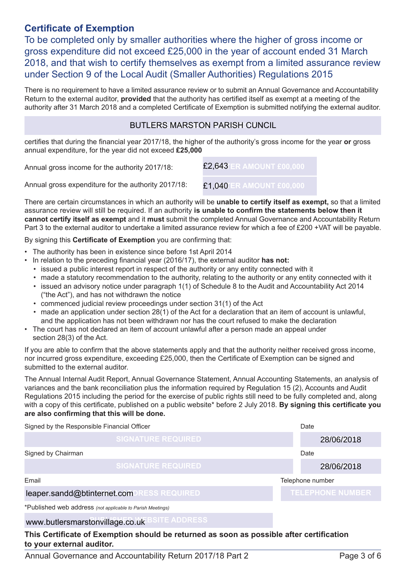## **Certificate of Exemption**

To be completed only by smaller authorities where the higher of gross income or gross expenditure did not exceed £25,000 in the year of account ended 31 March 2018, and that wish to certify themselves as exempt from a limited assurance review under Section 9 of the Local Audit (Smaller Authorities) Regulations 2015

There is no requirement to have a limited assurance review or to submit an Annual Governance and Accountability Return to the external auditor, **provided** that the authority has certified itself as exempt at a meeting of the authority after 31 March 2018 and a completed Certificate of Exemption is submitted notifying the external auditor.

#### BUTLERS MARSTON PARISH CUNCIL

certifies that during the financial year 2017/18, the higher of the authority's gross income for the year **or** gross annual expenditure, for the year did not exceed **£25,000**

Annual gross income for the authority 2017/18: **ENTER AMOUNT £00,000** £2,643

Annual gross expenditure for the authority 2017/18:

There are certain circumstances in which an authority will be **unable to certify itself as exempt,** so that a limited assurance review will still be required. If an authority **is unable to confirm the statements below then it cannot certify itself as exempt** and it **must** submit the completed Annual Governance and Accountability Return Part 3 to the external auditor to undertake a limited assurance review for which a fee of £200 +VAT will be payable.

**ENTER AMOUNT £00,000** £1,040

By signing this **Certificate of Exemption** you are confirming that:

- The authority has been in existence since before 1st April 2014
- In relation to the preceding financial year (2016/17), the external auditor **has not:**
	- issued a public interest report in respect of the authority or any entity connected with it
	- made a statutory recommendation to the authority, relating to the authority or any entity connected with it
	- issued an advisory notice under paragraph 1(1) of Schedule 8 to the Audit and Accountability Act 2014 ("the Act"), and has not withdrawn the notice
	- commenced judicial review proceedings under section 31(1) of the Act
	- made an application under section 28(1) of the Act for a declaration that an item of account is unlawful, and the application has not been withdrawn nor has the court refused to make the declaration
- The court has not declared an item of account unlawful after a person made an appeal under section 28(3) of the Act.

If you are able to confirm that the above statements apply and that the authority neither received gross income, nor incurred gross expenditure, exceeding £25,000, then the Certificate of Exemption can be signed and submitted to the external auditor.

The Annual Internal Audit Report, Annual Governance Statement, Annual Accounting Statements, an analysis of variances and the bank reconciliation plus the information required by Regulation 15 (2), Accounts and Audit Regulations 2015 including the period for the exercise of public rights still need to be fully completed and, along with a copy of this certificate, published on a public website\* before 2 July 2018. **By signing this certificate you are also confirming that this will be done.**

| Signed by the Responsible Financial Officer                | Date                      |                         |  |  |
|------------------------------------------------------------|---------------------------|-------------------------|--|--|
|                                                            | <b>SIGNATURE REQUIRED</b> | 28/06/2018              |  |  |
| Signed by Chairman                                         |                           | Date                    |  |  |
|                                                            | <b>SIGNATURE REQUIRED</b> | 28/06/2018              |  |  |
| Email                                                      |                           | Telephone number        |  |  |
| leaper.sandd@btinternet.comDRESS REQUIRED                  |                           | <b>TELEPHONE NUMBER</b> |  |  |
| *Published web address (not applicable to Parish Meetings) |                           |                         |  |  |
| www.butlersmarstonvillage.co.uk BSITE ADDRESS              |                           |                         |  |  |

**This Certificate of Exemption should be returned as soon as possible after certification to your external auditor.**

Annual Governance and Accountability Return 2017/18 Part 2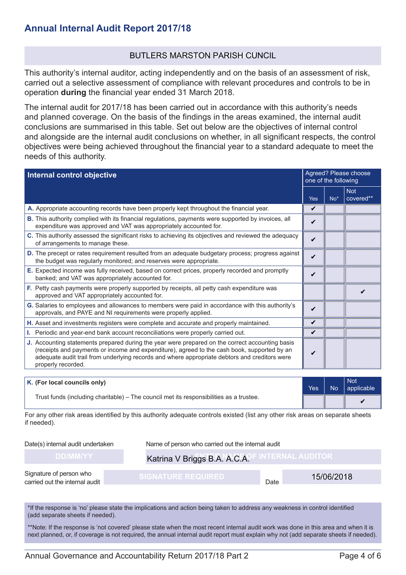#### BUTLERS MARSTON PARISH CUNCIL

This authority's internal auditor, acting independently and on the basis of an assessment of risk, carried out a selective assessment of compliance with relevant procedures and controls to be in operation **during** the financial year ended 31 March 2018.

The internal audit for 2017/18 has been carried out in accordance with this authority's needs and planned coverage. On the basis of the findings in the areas examined, the internal audit conclusions are summarised in this table. Set out below are the objectives of internal control and alongside are the internal audit conclusions on whether, in all significant respects, the control objectives were being achieved throughout the financial year to a standard adequate to meet the needs of this authority.

| Internal control objective                                                                                                                                                                                                                                                                                            |                    | Agreed? Please choose<br>one of the following |                         |  |
|-----------------------------------------------------------------------------------------------------------------------------------------------------------------------------------------------------------------------------------------------------------------------------------------------------------------------|--------------------|-----------------------------------------------|-------------------------|--|
|                                                                                                                                                                                                                                                                                                                       | <b>Yes</b>         | $No*$                                         | <b>Not</b><br>covered** |  |
| A. Appropriate accounting records have been properly kept throughout the financial year.                                                                                                                                                                                                                              | V                  |                                               |                         |  |
| <b>B.</b> This authority complied with its financial regulations, payments were supported by invoices, all<br>expenditure was approved and VAT was appropriately accounted for.                                                                                                                                       | V                  |                                               |                         |  |
| C. This authority assessed the significant risks to achieving its objectives and reviewed the adequacy<br>of arrangements to manage these.                                                                                                                                                                            | $\boldsymbol{\nu}$ |                                               |                         |  |
| D. The precept or rates requirement resulted from an adequate budgetary process; progress against<br>the budget was regularly monitored; and reserves were appropriate.                                                                                                                                               |                    |                                               |                         |  |
| E. Expected income was fully received, based on correct prices, properly recorded and promptly<br>banked; and VAT was appropriately accounted for.                                                                                                                                                                    | V                  |                                               |                         |  |
| F. Petty cash payments were properly supported by receipts, all petty cash expenditure was<br>approved and VAT appropriately accounted for.                                                                                                                                                                           |                    |                                               |                         |  |
| G. Salaries to employees and allowances to members were paid in accordance with this authority's<br>approvals, and PAYE and NI requirements were properly applied.                                                                                                                                                    |                    |                                               |                         |  |
| H. Asset and investments registers were complete and accurate and properly maintained.                                                                                                                                                                                                                                |                    |                                               |                         |  |
| I. Periodic and year-end bank account reconciliations were properly carried out.                                                                                                                                                                                                                                      |                    |                                               |                         |  |
| J. Accounting statements prepared during the year were prepared on the correct accounting basis<br>(receipts and payments or income and expenditure), agreed to the cash book, supported by an<br>adequate audit trail from underlying records and where appropriate debtors and creditors were<br>properly recorded. |                    |                                               |                         |  |

| K. (For local councils only)                                                            |  | No. | Not<br>$ $ applicable |
|-----------------------------------------------------------------------------------------|--|-----|-----------------------|
| Trust funds (including charitable) – The council met its responsibilities as a trustee. |  |     |                       |

For any other risk areas identified by this authority adequate controls existed (list any other risk areas on separate sheets if needed).

Date(s) internal audit undertaken Name of person who carried out the internal audit

## **Katrina V Briggs B.A. A.C.A.<sup>C</sup> INTERNAL AUDITOR**

Signature of person who carried out the internal audit

15/06/2018

Date

\*If the response is 'no' please state the implications and action being taken to address any weakness in control identified (add separate sheets if needed).

\*\*Note: If the response is 'not covered' please state when the most recent internal audit work was done in this area and when it is next planned, or, if coverage is not required, the annual internal audit report must explain why not (add separate sheets if needed).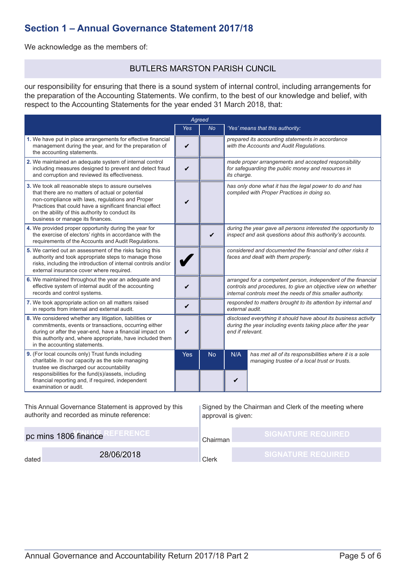## **Section 1 – Annual Governance Statement 2017/18**

We acknowledge as the members of:

#### BUTLERS MARSTON PARISH CUNCIL

our responsibility for ensuring that there is a sound system of internal control, including arrangements for the preparation of the Accounting Statements. We confirm, to the best of our knowledge and belief, with respect to the Accounting Statements for the year ended 31 March 2018, that:

| Agreed                                                                                                                                                                                                                                                                                                         |                    |           |                                                                                                                                                                                               |                                                                                                            |
|----------------------------------------------------------------------------------------------------------------------------------------------------------------------------------------------------------------------------------------------------------------------------------------------------------------|--------------------|-----------|-----------------------------------------------------------------------------------------------------------------------------------------------------------------------------------------------|------------------------------------------------------------------------------------------------------------|
|                                                                                                                                                                                                                                                                                                                | <b>Yes</b>         | No.       |                                                                                                                                                                                               | 'Yes' means that this authority:                                                                           |
| 1. We have put in place arrangements for effective financial<br>management during the year, and for the preparation of<br>the accounting statements.                                                                                                                                                           | V                  |           |                                                                                                                                                                                               | prepared its accounting statements in accordance<br>with the Accounts and Audit Regulations.               |
| 2. We maintained an adequate system of internal control<br>including measures designed to prevent and detect fraud<br>and corruption and reviewed its effectiveness.                                                                                                                                           | $\boldsymbol{\nu}$ |           | its charge.                                                                                                                                                                                   | made proper arrangements and accepted responsibility<br>for safeguarding the public money and resources in |
| 3. We took all reasonable steps to assure ourselves<br>that there are no matters of actual or potential<br>non-compliance with laws, regulations and Proper<br>Practices that could have a significant financial effect<br>on the ability of this authority to conduct its<br>business or manage its finances. | ✔                  |           | has only done what it has the legal power to do and has<br>complied with Proper Practices in doing so.                                                                                        |                                                                                                            |
| 4. We provided proper opportunity during the year for<br>the exercise of electors' rights in accordance with the<br>requirements of the Accounts and Audit Regulations.                                                                                                                                        |                    | ✔         | during the year gave all persons interested the opportunity to<br>inspect and ask questions about this authority's accounts.                                                                  |                                                                                                            |
| 5. We carried out an assessment of the risks facing this<br>authority and took appropriate steps to manage those<br>risks, including the introduction of internal controls and/or<br>external insurance cover where required.                                                                                  |                    |           | considered and documented the financial and other risks it<br>faces and dealt with them properly.                                                                                             |                                                                                                            |
| 6. We maintained throughout the year an adequate and<br>effective system of internal audit of the accounting<br>records and control systems.                                                                                                                                                                   | ✔                  |           | arranged for a competent person, independent of the financial<br>controls and procedures, to give an objective view on whether<br>internal controls meet the needs of this smaller authority. |                                                                                                            |
| 7. We took appropriate action on all matters raised<br>in reports from internal and external audit.                                                                                                                                                                                                            | V                  |           | responded to matters brought to its attention by internal and<br>external audit.                                                                                                              |                                                                                                            |
| 8. We considered whether any litigation, liabilities or<br>commitments, events or transactions, occurring either<br>during or after the year-end, have a financial impact on<br>this authority and, where appropriate, have included them<br>in the accounting statements.                                     | ✔                  |           | disclosed everything it should have about its business activity<br>during the year including events taking place after the year<br>end if relevant.                                           |                                                                                                            |
| 9. (For local councils only) Trust funds including<br>charitable. In our capacity as the sole managing<br>trustee we discharged our accountability<br>responsibilities for the fund(s)/assets, including<br>financial reporting and, if required, independent<br>examination or audit.                         | Yes                | <b>No</b> | N/A<br>V                                                                                                                                                                                      | has met all of its responsibilities where it is a sole<br>managing trustee of a local trust or trusts.     |

This Annual Governance Statement is approved by this authority and recorded as minute reference: **pc mins 1806 finance**<br>28/06/2018 dated **28/06/2018** Signed by the Chairman and Clerk of the meeting where approval is given: Chairman Clerk **SIGNATURE REQUIRED**